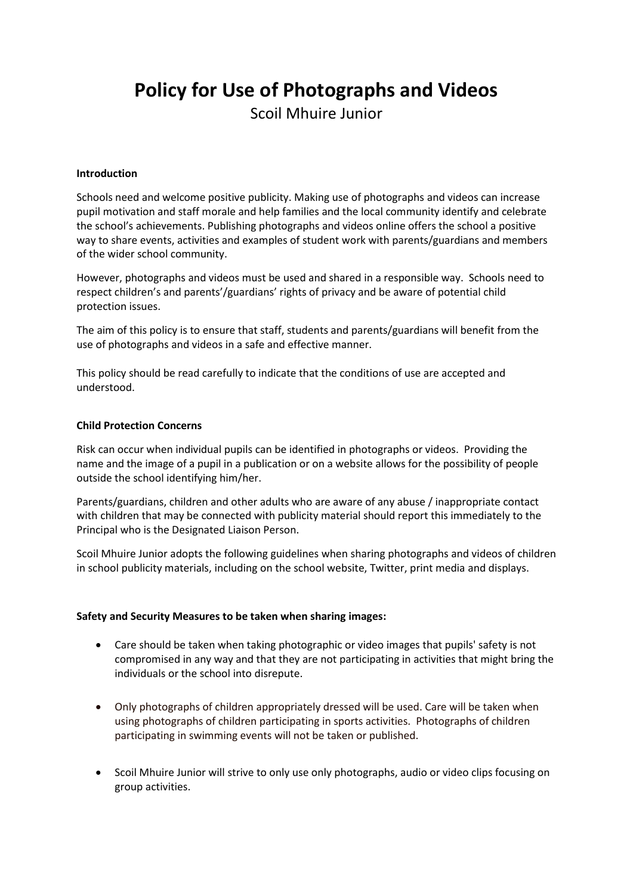# **Policy for Use of Photographs and Videos**

Scoil Mhuire Junior

## **Introduction**

Schools need and welcome positive publicity. Making use of photographs and videos can increase pupil motivation and staff morale and help families and the local community identify and celebrate the school's achievements. Publishing photographs and videos online offers the school a positive way to share events, activities and examples of student work with parents/guardians and members of the wider school community.

However, photographs and videos must be used and shared in a responsible way. Schools need to respect children's and parents'/guardians' rights of privacy and be aware of potential child protection issues.

The aim of this policy is to ensure that staff, students and parents/guardians will benefit from the use of photographs and videos in a safe and effective manner.

This policy should be read carefully to indicate that the conditions of use are accepted and understood.

## **Child Protection Concerns**

Risk can occur when individual pupils can be identified in photographs or videos. Providing the name and the image of a pupil in a publication or on a website allows for the possibility of people outside the school identifying him/her.

Parents/guardians, children and other adults who are aware of any abuse / inappropriate contact with children that may be connected with publicity material should report this immediately to the Principal who is the Designated Liaison Person.

Scoil Mhuire Junior adopts the following guidelines when sharing photographs and videos of children in school publicity materials, including on the school website, Twitter, print media and displays.

### **Safety and Security Measures to be taken when sharing images:**

- Care should be taken when taking photographic or video images that pupils' safety is not compromised in any way and that they are not participating in activities that might bring the individuals or the school into disrepute.
- Only photographs of children appropriately dressed will be used. Care will be taken when using photographs of children participating in sports activities. Photographs of children participating in swimming events will not be taken or published.
- Scoil Mhuire Junior will strive to only use only photographs, audio or video clips focusing on group activities.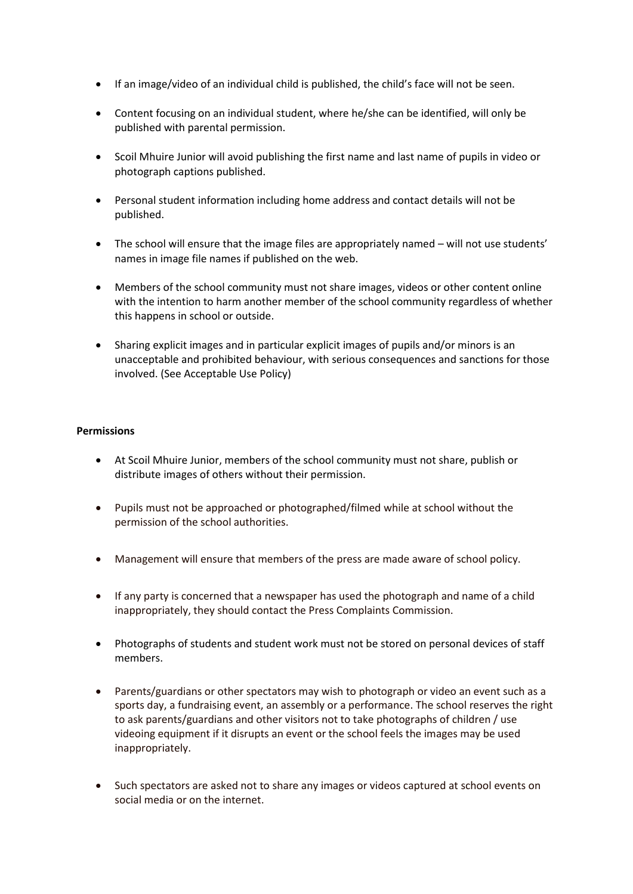- If an image/video of an individual child is published, the child's face will not be seen.
- Content focusing on an individual student, where he/she can be identified, will only be published with parental permission.
- Scoil Mhuire Junior will avoid publishing the first name and last name of pupils in video or photograph captions published.
- Personal student information including home address and contact details will not be published.
- The school will ensure that the image files are appropriately named will not use students' names in image file names if published on the web.
- Members of the school community must not share images, videos or other content online with the intention to harm another member of the school community regardless of whether this happens in school or outside.
- Sharing explicit images and in particular explicit images of pupils and/or minors is an unacceptable and prohibited behaviour, with serious consequences and sanctions for those involved. (See Acceptable Use Policy)

## **Permissions**

- At Scoil Mhuire Junior, members of the school community must not share, publish or distribute images of others without their permission.
- Pupils must not be approached or photographed/filmed while at school without the permission of the school authorities.
- Management will ensure that members of the press are made aware of school policy.
- If any party is concerned that a newspaper has used the photograph and name of a child inappropriately, they should contact the Press Complaints Commission.
- Photographs of students and student work must not be stored on personal devices of staff members.
- Parents/guardians or other spectators may wish to photograph or video an event such as a sports day, a fundraising event, an assembly or a performance. The school reserves the right to ask parents/guardians and other visitors not to take photographs of children / use videoing equipment if it disrupts an event or the school feels the images may be used inappropriately.
- Such spectators are asked not to share any images or videos captured at school events on social media or on the internet.